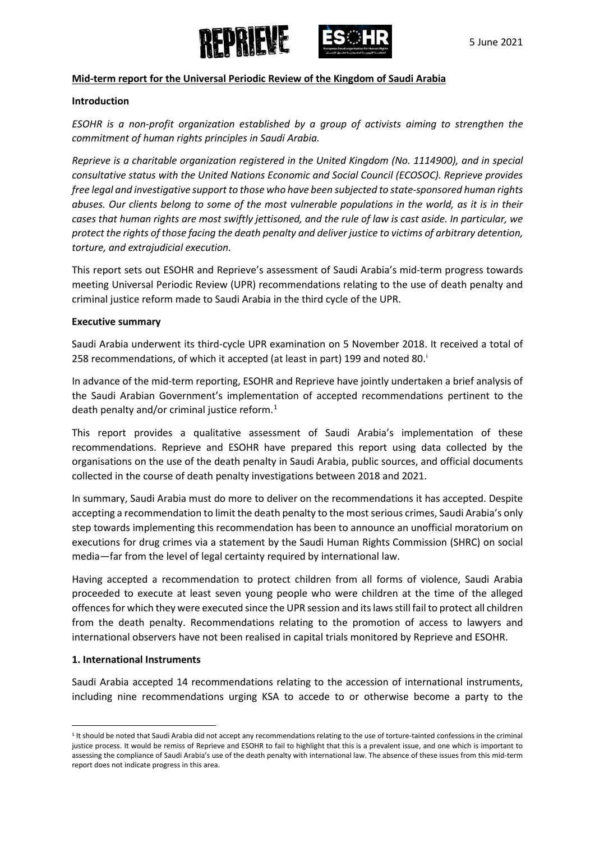



#### **Mid-term report for the Universal Periodic Review of the Kingdom of Saudi Arabia**

#### **Introduction**

*ESOHR is a non-profit organization established by a group of activists aiming to strengthen the commitment of human rights principles in Saudi Arabia.*

*Reprieve is a charitable organization registered in the United Kingdom (No. 1114900), and in special consultative status with the United Nations Economic and Social Council (ECOSOC). Reprieve provides free legal and investigative support to those who have been subjected to state-sponsored human rights abuses. Our clients belong to some of the most vulnerable populations in the world, as it is in their cases that human rights are most swiftly jettisoned, and the rule of law is cast aside. In particular, we protect the rights of those facing the death penalty and deliver justice to victims of arbitrary detention, torture, and extrajudicial execution.*

This report sets out ESOHR and Reprieve's assessment of Saudi Arabia's mid-term progress towards meeting Universal Periodic Review (UPR) recommendations relating to the use of death penalty and criminal justice reform made to Saudi Arabia in the third cycle of the UPR.

#### **Executive summary**

Saudi Arabia underwent its third-cycle UPR examination on 5 November 2018. It received a total of 258 recommendat[i](#page-4-0)ons, of which it accepted (at least in part) 199 and noted 80.

In advance of the mid-term reporting, ESOHR and Reprieve have jointly undertaken a brief analysis of the Saudi Arabian Government's implementation of accepted recommendations pertinent to the death penalty and/or criminal justice reform.<sup>[1](#page-0-0)</sup>

This report provides a qualitative assessment of Saudi Arabia's implementation of these recommendations. Reprieve and ESOHR have prepared this report using data collected by the organisations on the use of the death penalty in Saudi Arabia, public sources, and official documents collected in the course of death penalty investigations between 2018 and 2021.

In summary, Saudi Arabia must do more to deliver on the recommendations it has accepted. Despite accepting a recommendation to limit the death penalty to the most serious crimes, Saudi Arabia's only step towards implementing this recommendation has been to announce an unofficial moratorium on executions for drug crimes via a statement by the Saudi Human Rights Commission (SHRC) on social media—far from the level of legal certainty required by international law.

Having accepted a recommendation to protect children from all forms of violence, Saudi Arabia proceeded to execute at least seven young people who were children at the time of the alleged offencesfor which they were executed since the UPR session and its laws still fail to protect all children from the death penalty. Recommendations relating to the promotion of access to lawyers and international observers have not been realised in capital trials monitored by Reprieve and ESOHR.

## **1. International Instruments**

Saudi Arabia accepted 14 recommendations relating to the accession of international instruments, including nine recommendations urging KSA to accede to or otherwise become a party to the

<span id="page-0-0"></span><sup>&</sup>lt;sup>1</sup> It should be noted that Saudi Arabia did not accept any recommendations relating to the use of torture-tainted confessions in the criminal justice process. It would be remiss of Reprieve and ESOHR to fail to highlight that this is a prevalent issue, and one which is important to assessing the compliance of Saudi Arabia's use of the death penalty with international law. The absence of these issues from this mid-term report does not indicate progress in this area.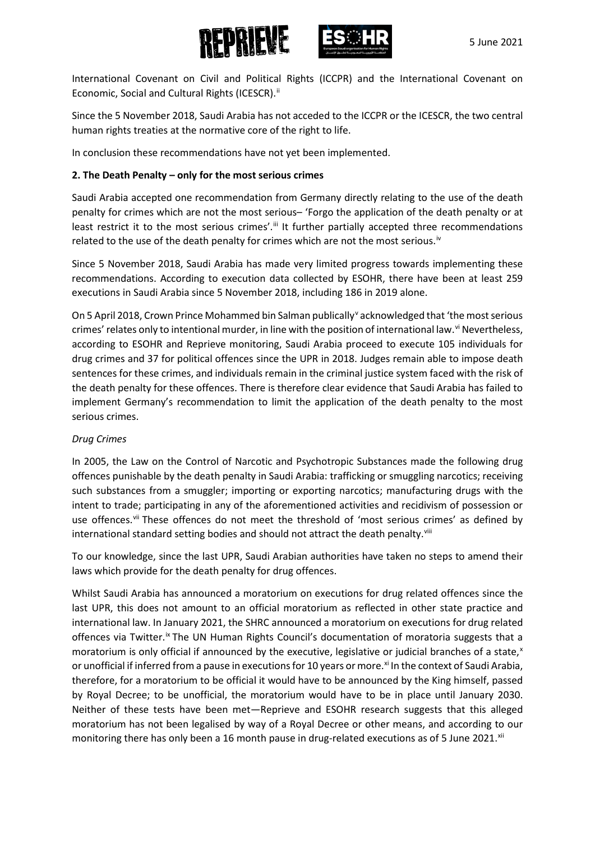



International Covenant on Civil and Political Rights (ICCPR) and the International Covenant on Economic, Social and Cultural Rights (ICESCR).<sup>[ii](#page-5-0)</sup>

Since the 5 November 2018, Saudi Arabia has not acceded to the ICCPR or the ICESCR, the two central human rights treaties at the normative core of the right to life.

In conclusion these recommendations have not yet been implemented.

# **2. The Death Penalty – only for the most serious crimes**

Saudi Arabia accepted one recommendation from Germany directly relating to the use of the death penalty for crimes which are not the most serious– 'Forgo the application of the death penalty or at least restrict it to the most serious crimes'.<sup>[iii](#page-5-1)</sup> It further partially accepted three recommendations related to the use of the death penalty for crimes which are not the most serious.<sup>[iv](#page-5-2)</sup>

Since 5 November 2018, Saudi Arabia has made very limited progress towards implementing these recommendations. According to execution data collected by ESOHR, there have been at least 259 executions in Saudi Arabia since 5 November 2018, including 186 in 2019 alone.

On 5 April 2018, Crown Prince Mohammed bin Salman publically<sup>[v](#page-5-3)</sup> acknowledged that 'the most serious crimes' relates only to intentional murder, in line with the position of international law.<sup>[vi](#page-5-4)</sup> Nevertheless, according to ESOHR and Reprieve monitoring, Saudi Arabia proceed to execute 105 individuals for drug crimes and 37 for political offences since the UPR in 2018. Judges remain able to impose death sentences for these crimes, and individuals remain in the criminal justice system faced with the risk of the death penalty for these offences. There is therefore clear evidence that Saudi Arabia has failed to implement Germany's recommendation to limit the application of the death penalty to the most serious crimes.

## *Drug Crimes*

In 2005, the Law on the Control of Narcotic and Psychotropic Substances made the following drug offences punishable by the death penalty in Saudi Arabia: trafficking or smuggling narcotics; receiving such substances from a smuggler; importing or exporting narcotics; manufacturing drugs with the intent to trade; participating in any of the aforementioned activities and recidivism of possession or use offences.<sup>[vii](#page-5-5)</sup> These offences do not meet the threshold of 'most serious crimes' as defined by international standard setting bodies and should not attract the death penalty.<sup>[viii](#page-5-6)</sup>

To our knowledge, since the last UPR, Saudi Arabian authorities have taken no steps to amend their laws which provide for the death penalty for drug offences.

Whilst Saudi Arabia has announced a moratorium on executions for drug related offences since the last UPR, this does not amount to an official moratorium as reflected in other state practice and international law. In January 2021, the SHRC announced a moratorium on executions for drug related offences via Twitter.<sup>[ix](#page-5-7)</sup> The UN Human Rights Council's documentation of moratoria suggests that a moratorium is only official if announced by the e[x](#page-5-8)ecutive, legislative or judicial branches of a state,<sup>x</sup> or unofficial if inferred from a pause in executions for 10 years or more.<sup>[xi](#page-5-9)</sup> In the context of Saudi Arabia, therefore, for a moratorium to be official it would have to be announced by the King himself, passed by Royal Decree; to be unofficial, the moratorium would have to be in place until January 2030. Neither of these tests have been met—Reprieve and ESOHR research suggests that this alleged moratorium has not been legalised by way of a Royal Decree or other means, and according to our monitoring there has only been a 16 month pause in drug-related executions as of 5 June 2021.<sup>[xii](#page-5-10)</sup>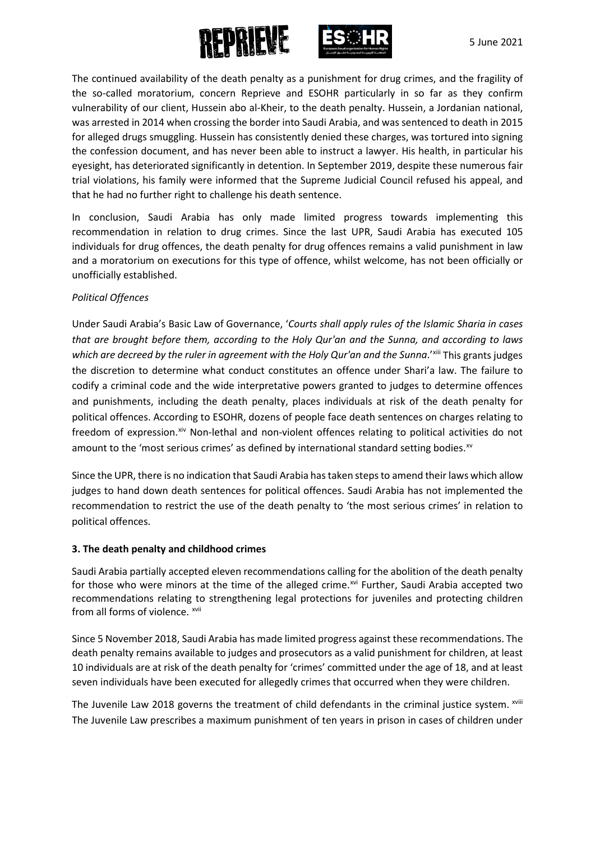



The continued availability of the death penalty as a punishment for drug crimes, and the fragility of the so-called moratorium, concern Reprieve and ESOHR particularly in so far as they confirm vulnerability of our client, Hussein abo al-Kheir, to the death penalty. Hussein, a Jordanian national, was arrested in 2014 when crossing the border into Saudi Arabia, and was sentenced to death in 2015 for alleged drugs smuggling. Hussein has consistently denied these charges, was tortured into signing the confession document, and has never been able to instruct a lawyer. His health, in particular his eyesight, has deteriorated significantly in detention. In September 2019, despite these numerous fair trial violations, his family were informed that the Supreme Judicial Council refused his appeal, and that he had no further right to challenge his death sentence.

In conclusion, Saudi Arabia has only made limited progress towards implementing this recommendation in relation to drug crimes. Since the last UPR, Saudi Arabia has executed 105 individuals for drug offences, the death penalty for drug offences remains a valid punishment in law and a moratorium on executions for this type of offence, whilst welcome, has not been officially or unofficially established.

## *Political Offences*

Under Saudi Arabia's Basic Law of Governance, '*Courts shall apply rules of the Islamic Sharia in cases that are brought before them, according to the Holy Qur'an and the Sunna, and according to laws*  which are decreed by the ruler in agreement with the Holy Qur'an and the Sunna.<sup>['xiii](#page-5-11)</sup> This grants judges the discretion to determine what conduct constitutes an offence under Shari'a law. The failure to codify a criminal code and the wide interpretative powers granted to judges to determine offences and punishments, including the death penalty, places individuals at risk of the death penalty for political offences. According to ESOHR, dozens of people face death sentences on charges relating to freedom of expression. Xiv Non-lethal and non-violent offences relating to political activities do not amount to the 'most serious crimes' as defined by international standard setting bodies. $x<sup>w</sup>$ 

Since the UPR, there is no indication that Saudi Arabia has taken steps to amend their laws which allow judges to hand down death sentences for political offences. Saudi Arabia has not implemented the recommendation to restrict the use of the death penalty to 'the most serious crimes' in relation to political offences.

## **3. The death penalty and childhood crimes**

Saudi Arabia partially accepted eleven recommendations calling for the abolition of the death penalty for those who were minors at the time of the alleged crime.<sup>[xvi](#page-5-14)</sup> Further, Saudi Arabia accepted two recommendations relating to strengthening legal protections for juveniles and protecting children from all forms of violence. [xvii](#page-5-15)

Since 5 November 2018, Saudi Arabia has made limited progress against these recommendations. The death penalty remains available to judges and prosecutors as a valid punishment for children, at least 10 individuals are at risk of the death penalty for 'crimes' committed under the age of 18, and at least seven individuals have been executed for allegedly crimes that occurred when they were children.

The Juven[i](#page-5-16)le Law 2018 governs the treatment of child defendants in the criminal justice system. xviii The Juvenile Law prescribes a maximum punishment of ten years in prison in cases of children under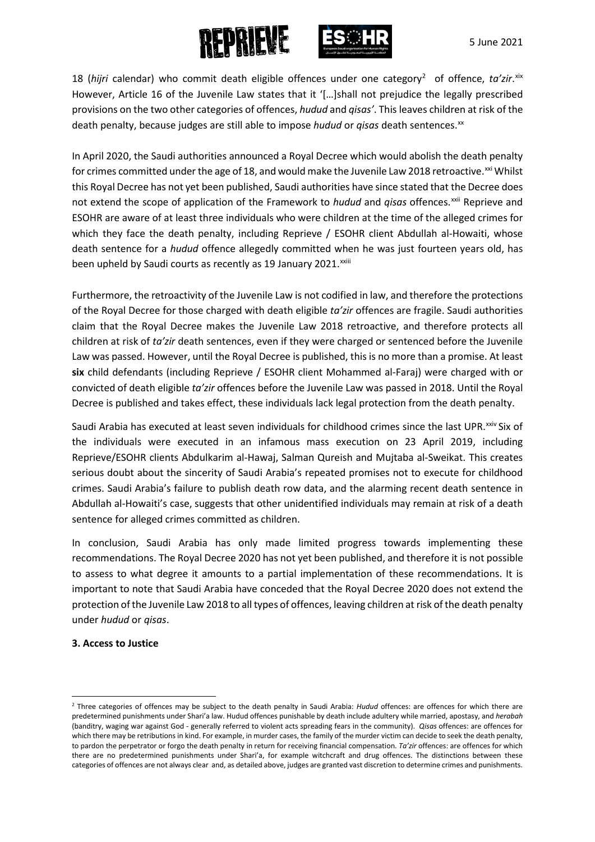



18 (hijri calendar) who commit death eligible offences under one category<sup>[2](#page-3-0)</sup> of offence, ta'zir. [xix](#page-5-17) However, Article 16 of the Juvenile Law states that it '[…]shall not prejudice the legally prescribed provisions on the two other categories of offences, *hudud* and *qisas'*. This leaves children at risk of the death penalty, because judges are still able to impose hudud or qisas death sentences.<sup>[xx](#page-5-18)</sup>

In April 2020, the Saudi authorities announced a Royal Decree which would abolish the death penalty for crimes committed under the age of 18, and would make the Juvenile Law 2018 retroactive.<sup>[xxi](#page-5-19)</sup> Whilst beenupheld by Saudi courts as recently as 19 January 2021. XXIII this Royal Decree has not yet been published, Saudi authorities have since stated that the Decree does not extend the scope of application of the Framework to *hudud* and *qisas* offences.<sup>[xxii](#page-6-0)</sup> Reprieve and ESOHR are aware of at least three individuals who were children at the time of the alleged crimes for which they face the death penalty, including Reprieve / ESOHR client Abdullah al-Howaiti, whose death sentence for a *hudud* offence allegedly committed when he was just fourteen years old, has

Furthermore, the retroactivity of the Juvenile Law is not codified in law, and therefore the protections of the Royal Decree for those charged with death eligible *ta'zir* offences are fragile. Saudi authorities claim that the Royal Decree makes the Juvenile Law 2018 retroactive, and therefore protects all children at risk of *ta'zir* death sentences, even if they were charged or sentenced before the Juvenile Law was passed. However, until the Royal Decree is published, this is no more than a promise. At least **six** child defendants (including Reprieve / ESOHR client Mohammed al-Faraj) were charged with or convicted of death eligible *ta'zir* offences before the Juvenile Law was passed in 2018. Until the Royal Decree is published and takes effect, these individuals lack legal protection from the death penalty.

Saudi Arabia has executed at least seven individuals for childhood crimes since the last UPR.<sup>xxiv</sup> Six of the individuals were executed in an infamous mass execution on 23 April 2019, including Reprieve/ESOHR clients Abdulkarim al-Hawaj, Salman Qureish and Mujtaba al-Sweikat. This creates serious doubt about the sincerity of Saudi Arabia's repeated promises not to execute for childhood crimes. Saudi Arabia's failure to publish death row data, and the alarming recent death sentence in Abdullah al-Howaiti's case, suggests that other unidentified individuals may remain at risk of a death sentence for alleged crimes committed as children.

In conclusion, Saudi Arabia has only made limited progress towards implementing these recommendations. The Royal Decree 2020 has not yet been published, and therefore it is not possible to assess to what degree it amounts to a partial implementation of these recommendations. It is important to note that Saudi Arabia have conceded that the Royal Decree 2020 does not extend the protection of the Juvenile Law 2018 to all types of offences, leaving children at risk of the death penalty under *hudud* or *qisas*.

## **3. Access to Justice**

<span id="page-3-0"></span> <sup>2</sup> Three categories of offences may be subject to the death penalty in Saudi Arabia: *Hudud* offences: are offences for which there are predetermined punishments under Shari'a law. Hudud offences punishable by death include adultery while married, apostasy, and *herabah* (banditry, waging war against God - generally referred to violent acts spreading fears in the community). *Qisas* offences: are offences for which there may be retributions in kind. For example, in murder cases, the family of the murder victim can decide to seek the death penalty, to pardon the perpetrator or forgo the death penalty in return for receiving financial compensation. *Ta'zir* offences: are offences for which there are no predetermined punishments under Shari'a, for example witchcraft and drug offences. The distinctions between these categories of offences are not always clear and, as detailed above, judges are granted vast discretion to determine crimes and punishments.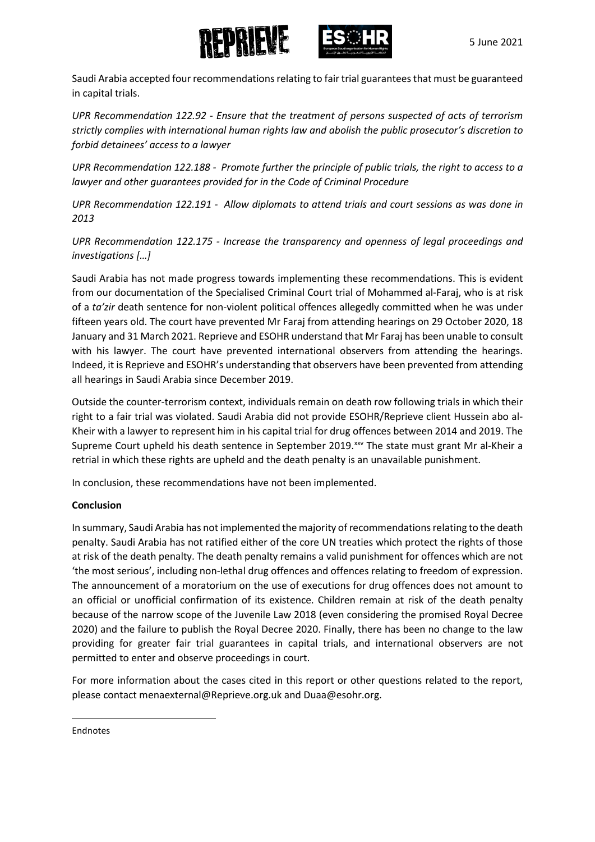



Saudi Arabia accepted four recommendations relating to fair trial guarantees that must be guaranteed in capital trials.

*UPR Recommendation 122.92 - Ensure that the treatment of persons suspected of acts of terrorism strictly complies with international human rights law and abolish the public prosecutor's discretion to forbid detainees' access to a lawyer* 

*UPR Recommendation 122.188 - Promote further the principle of public trials, the right to access to a lawyer and other guarantees provided for in the Code of Criminal Procedure*

*UPR Recommendation 122.191 - Allow diplomats to attend trials and court sessions as was done in 2013*

*UPR Recommendation 122.175 - Increase the transparency and openness of legal proceedings and investigations […]* 

Saudi Arabia has not made progress towards implementing these recommendations. This is evident from our documentation of the Specialised Criminal Court trial of Mohammed al-Faraj, who is at risk of a *ta'zir* death sentence for non-violent political offences allegedly committed when he was under fifteen years old. The court have prevented Mr Faraj from attending hearings on 29 October 2020, 18 January and 31 March 2021. Reprieve and ESOHR understand that Mr Faraj has been unable to consult with his lawyer. The court have prevented international observers from attending the hearings. Indeed, it is Reprieve and ESOHR's understanding that observers have been prevented from attending all hearings in Saudi Arabia since December 2019.

Outside the counter-terrorism context, individuals remain on death row following trials in which their right to a fair trial was violated. Saudi Arabia did not provide ESOHR/Reprieve client Hussein abo al-Kheir with a lawyer to represent him in his capital trial for drug offences between 2014 and 2019. The Supreme Court upheld his death sentence in September 2019.<sup>xx</sup> The state must grant Mr al-Kheir a retrial in which these rights are upheld and the death penalty is an unavailable punishment.

In conclusion, these recommendations have not been implemented.

## **Conclusion**

In summary, Saudi Arabia has not implemented the majority of recommendations relating to the death penalty. Saudi Arabia has not ratified either of the core UN treaties which protect the rights of those at risk of the death penalty. The death penalty remains a valid punishment for offences which are not 'the most serious', including non-lethal drug offences and offences relating to freedom of expression. The announcement of a moratorium on the use of executions for drug offences does not amount to an official or unofficial confirmation of its existence. Children remain at risk of the death penalty because of the narrow scope of the Juvenile Law 2018 (even considering the promised Royal Decree 2020) and the failure to publish the Royal Decree 2020. Finally, there has been no change to the law providing for greater fair trial guarantees in capital trials, and international observers are not permitted to enter and observe proceedings in court.

For more information about the cases cited in this report or other questions related to the report, please contact menaexterna[l@Reprieve.org.uk](mailto:@Reprieve.org.uk) an[d Duaa@esohr.org.](mailto:Duaa@esohr.org)

<span id="page-4-0"></span>**Endnotes** 

 $\overline{a}$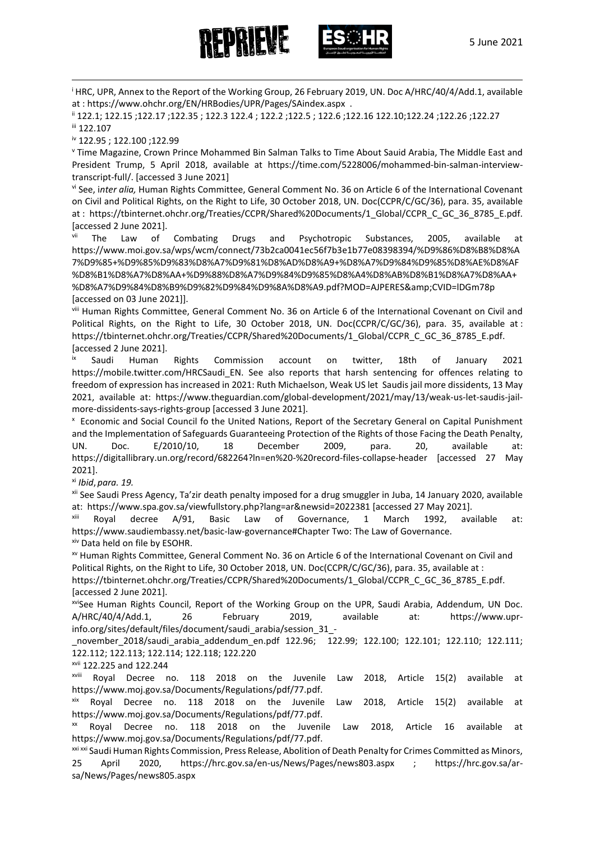





<sup>i</sup> HRC, UPR, Annex to the Report of the Working Group, 26 February 2019, UN. Doc A/HRC/40/4/Add.1, available

<span id="page-5-0"></span>at : https://www.ohchr.org/EN/HRBodies/UPR/Pages/SAindex.aspx .<br>ii 122.1; 122.15 ;122.17 ;122.35 ; 122.3 122.4 ; 122.2 ;122.5 ; 122.6 ;122.16 122.10;122.24 ;122.26 ;122.27 ii<br>iii 122.107

<span id="page-5-3"></span><span id="page-5-2"></span><span id="page-5-1"></span><sup>iv</sup> 122.95 ; 122.100 ;122.99<br><sup>v</sup> Time Magazine, Crown Prince Mohammed Bin Salman Talks to Time About Sauid Arabia, The Middle East and President Trump, 5 April 2018, available at [https://time.com/5228006/mohammed-bin-salman-interview](https://time.com/5228006/mohammed-bin-salman-interview-transcript-full/)[transcript-full/.](https://time.com/5228006/mohammed-bin-salman-interview-transcript-full/) [accessed 3 June 2021]

<span id="page-5-4"></span>vi See, i*nter alia,* Human Rights Committee, General Comment No. 36 on Article 6 of the International Covenant on Civil and Political Rights, on the Right to Life, 30 October 2018, UN. Doc(CCPR/C/GC/36), para. 35, available at : [https://tbinternet.ohchr.org/Treaties/CCPR/Shared%20Documents/1\\_Global/CCPR\\_C\\_GC\\_36\\_8785\\_E.pdf.](https://tbinternet.ohchr.org/Treaties/CCPR/Shared%20Documents/1_Global/CCPR_C_GC_36_8785_E.pdf) [accessed 2 June 2021].

<span id="page-5-5"></span>The Law of Combating Drugs and Psychotropic Substances, 2005, available at [https://www.moi.gov.sa/wps/wcm/connect/73b2ca0041ec56f7b3e1b77e08398394/%D9%86%D8%B8%D8%A](https://www.moi.gov.sa/wps/wcm/connect/73b2ca0041ec56f7b3e1b77e08398394/%D9%86%D8%B8%D8%A7%D9%85+%D9%85%D9%83%D8%A7%D9%81%D8%AD%D8%A9+%D8%A7%D9%84%D9%85%D8%AE%D8%AF%D8%B1%D8%A7%D8%AA+%D9%88%D8%A7%D9%84%D9%85%D8%A4%D8%AB%D8%B1%D8%A7%D8%AA+%D8%A7%D9%84%D8%B9%D9%82%D9%84%D9%8A%D8%A9.pdf?MOD=AJPERES&CVID=lDGm78p) [7%D9%85+%D9%85%D9%83%D8%A7%D9%81%D8%AD%D8%A9+%D8%A7%D9%84%D9%85%D8%AE%D8%AF](https://www.moi.gov.sa/wps/wcm/connect/73b2ca0041ec56f7b3e1b77e08398394/%D9%86%D8%B8%D8%A7%D9%85+%D9%85%D9%83%D8%A7%D9%81%D8%AD%D8%A9+%D8%A7%D9%84%D9%85%D8%AE%D8%AF%D8%B1%D8%A7%D8%AA+%D9%88%D8%A7%D9%84%D9%85%D8%A4%D8%AB%D8%B1%D8%A7%D8%AA+%D8%A7%D9%84%D8%B9%D9%82%D9%84%D9%8A%D8%A9.pdf?MOD=AJPERES&CVID=lDGm78p) [%D8%B1%D8%A7%D8%AA+%D9%88%D8%A7%D9%84%D9%85%D8%A4%D8%AB%D8%B1%D8%A7%D8%AA+](https://www.moi.gov.sa/wps/wcm/connect/73b2ca0041ec56f7b3e1b77e08398394/%D9%86%D8%B8%D8%A7%D9%85+%D9%85%D9%83%D8%A7%D9%81%D8%AD%D8%A9+%D8%A7%D9%84%D9%85%D8%AE%D8%AF%D8%B1%D8%A7%D8%AA+%D9%88%D8%A7%D9%84%D9%85%D8%A4%D8%AB%D8%B1%D8%A7%D8%AA+%D8%A7%D9%84%D8%B9%D9%82%D9%84%D9%8A%D8%A9.pdf?MOD=AJPERES&CVID=lDGm78p) [%D8%A7%D9%84%D8%B9%D9%82%D9%84%D9%8A%D8%A9.pdf?MOD=AJPERES&CVID=lDGm78p](https://www.moi.gov.sa/wps/wcm/connect/73b2ca0041ec56f7b3e1b77e08398394/%D9%86%D8%B8%D8%A7%D9%85+%D9%85%D9%83%D8%A7%D9%81%D8%AD%D8%A9+%D8%A7%D9%84%D9%85%D8%AE%D8%AF%D8%B1%D8%A7%D8%AA+%D9%88%D8%A7%D9%84%D9%85%D8%A4%D8%AB%D8%B1%D8%A7%D8%AA+%D8%A7%D9%84%D8%B9%D9%82%D9%84%D9%8A%D8%A9.pdf?MOD=AJPERES&CVID=lDGm78p) [accessed on 03 June 2021]].<br><sup>viii</sup> Human Rights Committee, General Comment No. 36 on Article 6 of the International Covenant on Civil and

<span id="page-5-6"></span>Political Rights, on the Right to Life, 30 October 2018, UN. Doc(CCPR/C/GC/36), para. 35, available at : [https://tbinternet.ohchr.org/Treaties/CCPR/Shared%20Documents/1\\_Global/CCPR\\_C\\_GC\\_36\\_8785\\_E.pdf.](https://tbinternet.ohchr.org/Treaties/CCPR/Shared%20Documents/1_Global/CCPR_C_GC_36_8785_E.pdf) [accessed 2 June 2021].

<span id="page-5-7"></span>Saudi Human Rights Commission account on twitter, 18th of January 2021 [https://mobile.twitter.com/HRCSaudi\\_EN.](https://mobile.twitter.com/HRCSaudi_EN) See also reports that harsh sentencing for offences relating to freedom of expression has increased in 2021: Ruth Michaelson, Weak US let Saudis jail more dissidents, 13 May 2021, available at: [https://www.theguardian.com/global-development/2021/may/13/weak-us-let-saudis-jail-](https://www.theguardian.com/global-development/2021/may/13/weak-us-let-saudis-jail-more-dissidents-says-rights-group)more-dissidents-says-rights-group [\[](https://www.theguardian.com/global-development/2021/may/13/weak-us-let-saudis-jail-more-dissidents-says-rights-group)accessed 3 June 2021].

<span id="page-5-8"></span> Economic and Social Council fo the United Nations, Report of the Secretary General on Capital Punishment and the Implementation of Safeguards Guaranteeing Protection of the Rights of those Facing the Death Penalty, UN. Doc. E/2010/10, 18 December 2009, para. 20, available at: <https://digitallibrary.un.org/record/682264?ln=en%20-%20record-files-collapse-header> [accessed 27 May 2021].

<span id="page-5-9"></span>xi *Ibid*, *para. 19.* 

<span id="page-5-10"></span>xii See Saudi Press Agency, Ta'zir death penalty imposed for a drug smuggler in Juba, 14 January 2020, available at: https://www.spa.gov.sa/viewfullstory.php?lang=ar&newsid=2022381 [\[](https://www.spa.gov.sa/viewfullstory.php?lang=ar&newsid=2022381)accessed 27 May 2021].<br>
<sup>xiii</sup> Royal decree A/91, Basic Law of Governance, 1 March 1992, available at:

<span id="page-5-11"></span>https://www.saudiembassy.net/basic-law-governance#Chapter Two: The Law of Governance.<br><sup>xiv</sup> Data held on file by ESOHR.<br><sup>xv</sup> Human Rights Committee. General Comment No. 36 on Article 6 of the International Covenant on Civi

<span id="page-5-13"></span><span id="page-5-12"></span>Political Rights, on the Right to Life, 30 October 2018, UN. Doc(CCPR/C/GC/36), para. 35, available at :

https://tbinternet.ohchr.org/Treaties/CCPR/Shared%20Documents/1\_Global/CCPR\_C\_GC\_36\_8785\_E.pdf. [accessed 2 June 2021].

<span id="page-5-14"></span>xviSee Human Rights Council, Report of the Working Group on the UPR, Saudi Arabia, Addendum, UN Doc. A/HRC/40/4/Add.1, 26 February 2019, available at: [https://www.upr](https://www.upr-info.org/sites/default/files/document/saudi_arabia/session_31_-_november_2018/saudi_arabia_addendum_en.pdf)[info.org/sites/default/files/document/saudi\\_arabia/session\\_31\\_-](https://www.upr-info.org/sites/default/files/document/saudi_arabia/session_31_-_november_2018/saudi_arabia_addendum_en.pdf)

[\\_november\\_2018/saudi\\_arabia\\_addendum\\_en.pdf](https://www.upr-info.org/sites/default/files/document/saudi_arabia/session_31_-_november_2018/saudi_arabia_addendum_en.pdf) 122.96; 122.99; 122.100; 122.101; 122.110; 122.111; 122.112; 122.113; 122.114; 122.118; 122.220

<span id="page-5-16"></span><span id="page-5-15"></span><sup>xvii</sup> 122.225 and 122.244<br><sup>xviii</sup> Royal Decree no. 118 2018 on the Juvenile Law 2018, Article 15(2) available at [https://www.moj.gov.sa/Documents/Regulations/pdf/77.pdf.](https://www.moj.gov.sa/Documents/Regulations/pdf/77.pdf)

<span id="page-5-17"></span>xix Royal Decree no. 118 2018 on the Juvenile Law 2018, Article 15(2) available at [https://www.moj.gov.sa/Documents/Regulations/pdf/77.pdf.](https://www.moj.gov.sa/Documents/Regulations/pdf/77.pdf)

<span id="page-5-18"></span>xx Royal Decree no. 118 2018 on the Juvenile Law 2018, Article 16 available at [https://www.moj.gov.sa/Documents/Regulations/pdf/77.pdf.](https://www.moj.gov.sa/Documents/Regulations/pdf/77.pdf)

<span id="page-5-19"></span>xxi xxi Saudi Human Rights Commission, Press Release, Abolition of Death Penalty for Crimes Committed as Minors, 25 April 2020, <https://hrc.gov.sa/en-us/News/Pages/news803.aspx> ; [https://hrc.gov.sa/ar](https://hrc.gov.sa/ar-sa/News/Pages/news805.aspx)[sa/News/Pages/news805.aspx](https://hrc.gov.sa/ar-sa/News/Pages/news805.aspx)